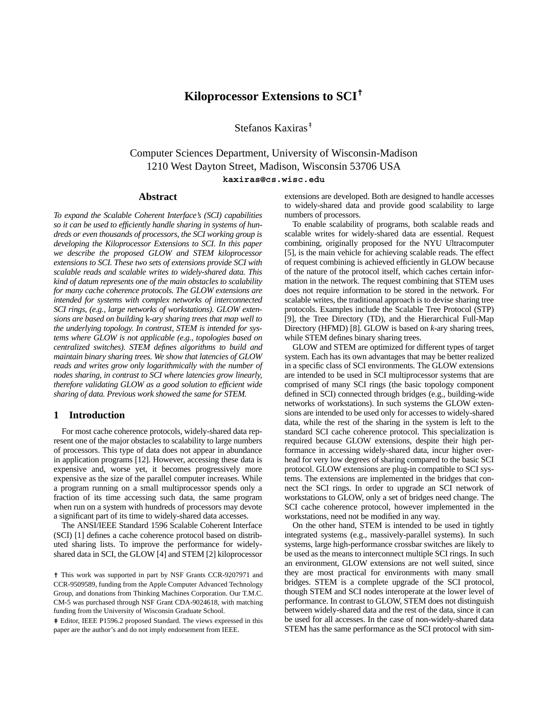# **Kiloprocessor Extensions to SCI†**

Stefanos Kaxiras‡

# Computer Sciences Department, University of Wisconsin-Madison 1210 West Dayton Street, Madison, Wisconsin 53706 USA **kaxiras@cs.wisc.edu**

# **Abstract**

*To expand the Scalable Coherent Interface's (SCI) capabilities so it can be used to efficiently handle sharing in systems of hundreds or even thousands of processors, the SCI working group is developing the Kiloprocessor Extensions to SCI. In this paper we describe the proposed GLOW and STEM kiloprocessor extensions to SCI. These two sets of extensions provide SCI with scalable reads and scalable writes to widely-shared data. This kind of datum represents one of the main obstacles to scalability for many cache coherence protocols. The GLOW extensions are intended for systems with complex networks of interconnected SCI rings, (e.g., large networks of workstations). GLOW extensions are based on building* k*-ary sharing trees that map well to the underlying topology. In contrast, STEM is intended for systems where GLOW is not applicable (e.g., topologies based on centralized switches). STEM defines algorithms to build and maintain binary sharing trees. We show that latencies of GLOW reads and writes grow only logarithmically with the number of nodes sharing, in contrast to SCI where latencies grow linearly, therefore validating GLOW as a good solution to efficient wide sharing of data. Previous work showed the same for STEM.*

# **1 Introduction**

For most cache coherence protocols, widely-shared data represent one of the major obstacles to scalability to large numbers of processors. This type of data does not appear in abundance in application programs [12]. However, accessing these data is expensive and, worse yet, it becomes progressively more expensive as the size of the parallel computer increases. While a program running on a small multiprocessor spends only a fraction of its time accessing such data, the same program when run on a system with hundreds of processors may devote a significant part of its time to widely-shared data accesses.

The ANSI/IEEE Standard 1596 Scalable Coherent Interface (SCI) [1] defines a cache coherence protocol based on distributed sharing lists. To improve the performance for widelyshared data in SCI, the GLOW [4] and STEM [2] kiloprocessor

**‡** Editor, IEEE P1596.2 proposed Standard. The views expressed in this paper are the author's and do not imply endorsement from IEEE.

extensions are developed. Both are designed to handle accesses to widely-shared data and provide good scalability to large numbers of processors.

To enable scalability of programs, both scalable reads and scalable writes for widely-shared data are essential. Request combining, originally proposed for the NYU Ultracomputer [5], is the main vehicle for achieving scalable reads. The effect of request combining is achieved efficiently in GLOW because of the nature of the protocol itself, which caches certain information in the network. The request combining that STEM uses does not require information to be stored in the network. For scalable writes, the traditional approach is to devise sharing tree protocols. Examples include the Scalable Tree Protocol (STP) [9], the Tree Directory (TD), and the Hierarchical Full-Map Directory (HFMD) [8]. GLOW is based on *k*-ary sharing trees, while STEM defines binary sharing trees.

GLOW and STEM are optimized for different types of target system. Each has its own advantages that may be better realized in a specific class of SCI environments. The GLOW extensions are intended to be used in SCI multiprocessor systems that are comprised of many SCI rings (the basic topology component defined in SCI) connected through bridges (e.g., building-wide networks of workstations). In such systems the GLOW extensions are intended to be used only for accesses to widely-shared data, while the rest of the sharing in the system is left to the standard SCI cache coherence protocol. This specialization is required because GLOW extensions, despite their high performance in accessing widely-shared data, incur higher overhead for very low degrees of sharing compared to the basic SCI protocol. GLOW extensions are plug-in compatible to SCI systems. The extensions are implemented in the bridges that connect the SCI rings. In order to upgrade an SCI network of workstations to GLOW, only a set of bridges need change. The SCI cache coherence protocol, however implemented in the workstations, need not be modified in any way.

On the other hand, STEM is intended to be used in tightly integrated systems (e.g., massively-parallel systems). In such systems, large high-performance crossbar switches are likely to be used as the means to interconnect multiple SCI rings. In such an environment, GLOW extensions are not well suited, since they are most practical for environments with many small bridges. STEM is a complete upgrade of the SCI protocol, though STEM and SCI nodes interoperate at the lower level of performance. In contrast to GLOW, STEM does not distinguish between widely-shared data and the rest of the data, since it can be used for all accesses. In the case of non-widely-shared data STEM has the same performance as the SCI protocol with sim-

**<sup>†</sup>** This work was supported in part by NSF Grants CCR-9207971 and CCR-9509589, funding from the Apple Computer Advanced Technology Group, and donations from Thinking Machines Corporation. Our T.M.C. CM-5 was purchased through NSF Grant CDA-9024618, with matching funding from the University of Wisconsin Graduate School.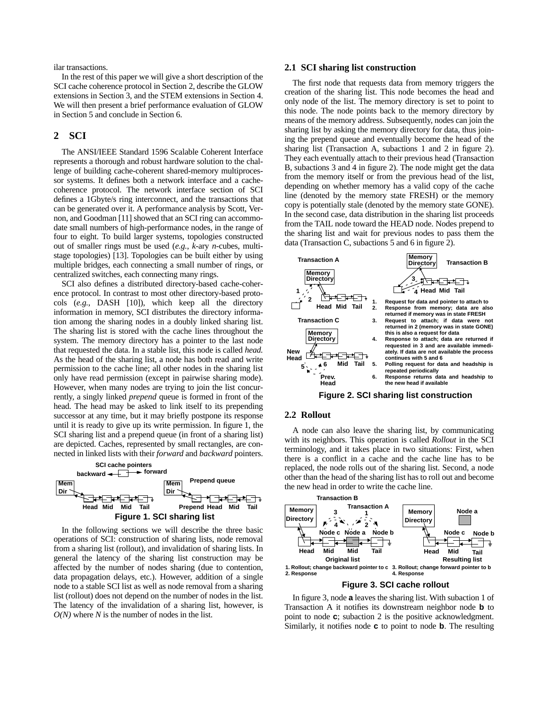ilar transactions.

In the rest of this paper we will give a short description of the SCI cache coherence protocol in Section 2, describe the GLOW extensions in Section 3, and the STEM extensions in Section 4. We will then present a brief performance evaluation of GLOW in Section 5 and conclude in Section 6.

# **2 SCI**

The ANSI/IEEE Standard 1596 Scalable Coherent Interface represents a thorough and robust hardware solution to the challenge of building cache-coherent shared-memory multiprocessor systems. It defines both a network interface and a cachecoherence protocol. The network interface section of SCI defines a 1Gbyte/s ring interconnect, and the transactions that can be generated over it. A performance analysis by Scott, Vernon, and Goodman [11] showed that an SCI ring can accommodate small numbers of high-performance nodes, in the range of four to eight. To build larger systems, topologies constructed out of smaller rings must be used (*e.g.*, *k*-ary *n*-cubes, multistage topologies) [13]. Topologies can be built either by using multiple bridges, each connecting a small number of rings, or centralized switches, each connecting many rings.

SCI also defines a distributed directory-based cache-coherence protocol. In contrast to most other directory-based protocols (*e.g.*, DASH [10]), which keep all the directory information in memory, SCI distributes the directory information among the sharing nodes in a doubly linked sharing list. The sharing list is stored with the cache lines throughout the system. The memory directory has a pointer to the last node that requested the data. In a stable list, this node is called *head.* As the head of the sharing list, a node has both read and write permission to the cache line; all other nodes in the sharing list only have read permission (except in pairwise sharing mode). However, when many nodes are trying to join the list concurrently, a singly linked *prepend* queue is formed in front of the head. The head may be asked to link itself to its prepending successor at any time, but it may briefly postpone its response until it is ready to give up its write permission. In figure 1, the SCI sharing list and a prepend queue (in front of a sharing list) are depicted. Caches, represented by small rectangles, are connected in linked lists with their *forward* and *backward* pointers.



In the following sections we will describe the three basic operations of SCI: construction of sharing lists, node removal from a sharing list (rollout), and invalidation of sharing lists. In general the latency of the sharing list construction may be affected by the number of nodes sharing (due to contention, data propagation delays, etc.). However, addition of a single node to a stable SCI list as well as node removal from a sharing list (rollout) does not depend on the number of nodes in the list. The latency of the invalidation of a sharing list, however, is *O(N)* where *N* is the number of nodes in the list.

## **2.1 SCI sharing list construction**

The first node that requests data from memory triggers the creation of the sharing list. This node becomes the head and only node of the list. The memory directory is set to point to this node. The node points back to the memory directory by means of the memory address. Subsequently, nodes can join the sharing list by asking the memory directory for data, thus joining the prepend queue and eventually become the head of the sharing list (Transaction A, subactions 1 and 2 in figure 2). They each eventually attach to their previous head (Transaction B, subactions 3 and 4 in figure 2). The node might get the data from the memory itself or from the previous head of the list, depending on whether memory has a valid copy of the cache line (denoted by the memory state FRESH) or the memory copy is potentially stale (denoted by the memory state GONE). In the second case, data distribution in the sharing list proceeds from the TAIL node toward the HEAD node. Nodes prepend to the sharing list and wait for previous nodes to pass them the data (Transaction C, subactions 5 and 6 in figure 2).



### **2.2 Rollout**

A node can also leave the sharing list, by communicating with its neighbors. This operation is called *Rollout* in the SCI terminology, and it takes place in two situations: First, when there is a conflict in a cache and the cache line has to be replaced, the node rolls out of the sharing list. Second, a node other than the head of the sharing list has to roll out and become the new head in order to write the cache line.





In figure 3, node **a** leaves the sharing list. With subaction 1 of Transaction A it notifies its downstream neighbor node **b** to point to node **c**; subaction 2 is the positive acknowledgment. Similarly, it notifies node **c** to point to node **b**. The resulting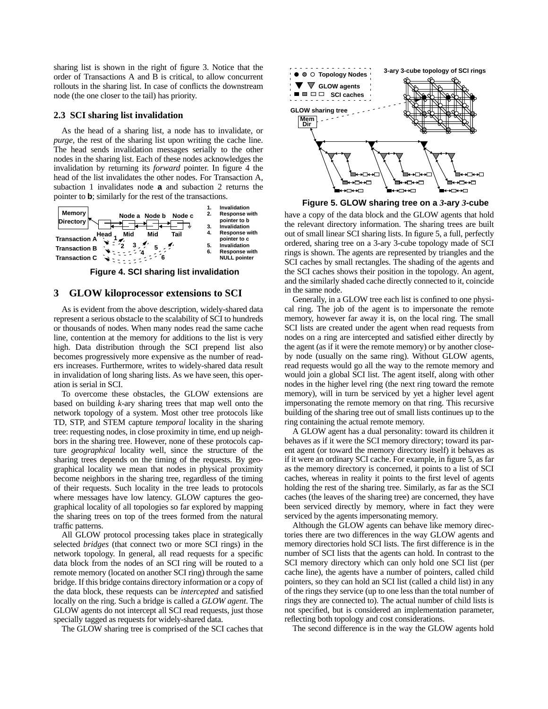sharing list is shown in the right of figure 3. Notice that the order of Transactions A and B is critical, to allow concurrent rollouts in the sharing list. In case of conflicts the downstream node (the one closer to the tail) has priority.

#### **2.3 SCI sharing list invalidation**

As the head of a sharing list, a node has to invalidate, or *purge*, the rest of the sharing list upon writing the cache line. The head sends invalidation messages serially to the other nodes in the sharing list. Each of these nodes acknowledges the invalidation by returning its *forward* pointer. In figure 4 the head of the list invalidates the other nodes. For Transaction A, subaction 1 invalidates node **a** and subaction 2 returns the pointer to **b**; similarly for the rest of the transactions.



# **3 GLOW kiloprocessor extensions to SCI**

As is evident from the above description, widely-shared data represent a serious obstacle to the scalability of SCI to hundreds or thousands of nodes. When many nodes read the same cache line, contention at the memory for additions to the list is very high. Data distribution through the SCI prepend list also becomes progressively more expensive as the number of readers increases. Furthermore, writes to widely-shared data result in invalidation of long sharing lists. As we have seen, this operation is serial in SCI.

To overcome these obstacles, the GLOW extensions are based on building *k*-ary sharing trees that map well onto the network topology of a system. Most other tree protocols like TD, STP, and STEM capture *temporal* locality in the sharing tree: requesting nodes, in close proximity in time, end up neighbors in the sharing tree. However, none of these protocols capture *geographical* locality well, since the structure of the sharing trees depends on the timing of the requests. By geographical locality we mean that nodes in physical proximity become neighbors in the sharing tree, regardless of the timing of their requests. Such locality in the tree leads to protocols where messages have low latency. GLOW captures the geographical locality of all topologies so far explored by mapping the sharing trees on top of the trees formed from the natural traffic patterns.

All GLOW protocol processing takes place in strategically selected *bridges* (that connect two or more SCI rings) in the network topology. In general, all read requests for a specific data block from the nodes of an SCI ring will be routed to a remote memory (located on another SCI ring) through the same bridge. If this bridge contains directory information or a copy of the data block, these requests can be *intercepted* and satisfied locally on the ring. Such a bridge is called a *GLOW agent*. The GLOW agents do not intercept all SCI read requests, just those specially tagged as requests for widely-shared data.

The GLOW sharing tree is comprised of the SCI caches that



**Figure 5. GLOW sharing tree on a** *3***-ary** *3***-cube**

have a copy of the data block and the GLOW agents that hold the relevant directory information. The sharing trees are built out of small linear SCI sharing lists. In figure 5, a full, perfectly ordered, sharing tree on a 3-ary 3-cube topology made of SCI rings is shown. The agents are represented by triangles and the SCI caches by small rectangles. The shading of the agents and the SCI caches shows their position in the topology. An agent, and the similarly shaded cache directly connected to it, coincide in the same node.

Generally, in a GLOW tree each list is confined to one physical ring. The job of the agent is to impersonate the remote memory, however far away it is, on the local ring. The small SCI lists are created under the agent when read requests from nodes on a ring are intercepted and satisfied either directly by the agent (as if it were the remote memory) or by another closeby node (usually on the same ring). Without GLOW agents, read requests would go all the way to the remote memory and would join a global SCI list. The agent itself, along with other nodes in the higher level ring (the next ring toward the remote memory), will in turn be serviced by yet a higher level agent impersonating the remote memory on that ring. This recursive building of the sharing tree out of small lists continues up to the ring containing the actual remote memory.

A GLOW agent has a dual personality: toward its children it behaves as if it were the SCI memory directory; toward its parent agent (or toward the memory directory itself) it behaves as if it were an ordinary SCI cache. For example, in figure 5, as far as the memory directory is concerned, it points to a list of SCI caches, whereas in reality it points to the first level of agents holding the rest of the sharing tree. Similarly, as far as the SCI caches (the leaves of the sharing tree) are concerned, they have been serviced directly by memory, where in fact they were serviced by the agents impersonating memory.

Although the GLOW agents can behave like memory directories there are two differences in the way GLOW agents and memory directories hold SCI lists. The first difference is in the number of SCI lists that the agents can hold. In contrast to the SCI memory directory which can only hold one SCI list (per cache line), the agents have a number of pointers, called child pointers, so they can hold an SCI list (called a child list) in any of the rings they service (up to one less than the total number of rings they are connected to). The actual number of child lists is not specified, but is considered an implementation parameter, reflecting both topology and cost considerations.

The second difference is in the way the GLOW agents hold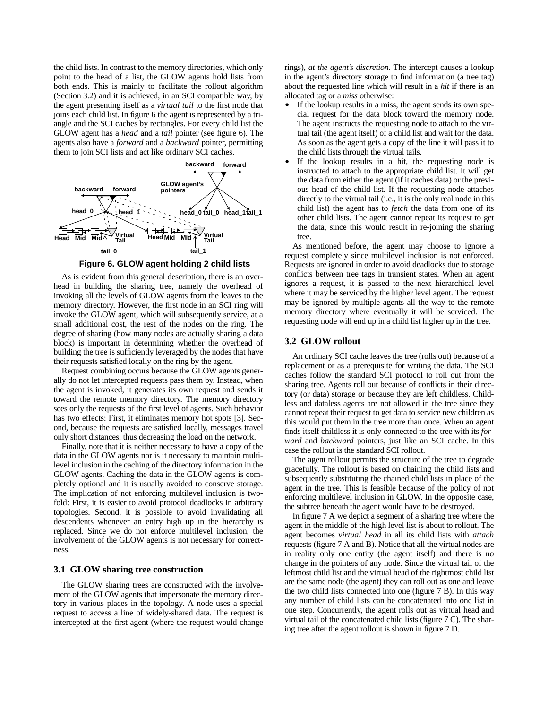the child lists. In contrast to the memory directories, which only point to the head of a list, the GLOW agents hold lists from both ends. This is mainly to facilitate the rollout algorithm (Section 3.2) and it is achieved, in an SCI compatible way, by the agent presenting itself as a *virtual tail* to the first node that joins each child list. In figure 6 the agent is represented by a triangle and the SCI caches by rectangles. For every child list the GLOW agent has a *head* and a *tail* pointer (see figure 6). The agents also have a *forward* and a *backward* pointer, permitting them to join SCI lists and act like ordinary SCI caches.



As is evident from this general description, there is an overhead in building the sharing tree, namely the overhead of invoking all the levels of GLOW agents from the leaves to the memory directory. However, the first node in an SCI ring will invoke the GLOW agent, which will subsequently service, at a small additional cost, the rest of the nodes on the ring. The degree of sharing (how many nodes are actually sharing a data block) is important in determining whether the overhead of building the tree is sufficiently leveraged by the nodes that have their requests satisfied locally on the ring by the agent.

Request combining occurs because the GLOW agents generally do not let intercepted requests pass them by. Instead, when the agent is invoked, it generates its own request and sends it toward the remote memory directory. The memory directory sees only the requests of the first level of agents. Such behavior has two effects: First, it eliminates memory hot spots [3]. Second, because the requests are satisfied locally, messages travel only short distances, thus decreasing the load on the network.

Finally, note that it is neither necessary to have a copy of the data in the GLOW agents nor is it necessary to maintain multilevel inclusion in the caching of the directory information in the GLOW agents. Caching the data in the GLOW agents is completely optional and it is usually avoided to conserve storage. The implication of not enforcing multilevel inclusion is twofold: First, it is easier to avoid protocol deadlocks in arbitrary topologies. Second, it is possible to avoid invalidating all descendents whenever an entry high up in the hierarchy is replaced. Since we do not enforce multilevel inclusion, the involvement of the GLOW agents is not necessary for correctness.

#### **3.1 GLOW sharing tree construction**

The GLOW sharing trees are constructed with the involvement of the GLOW agents that impersonate the memory directory in various places in the topology. A node uses a special request to access a line of widely-shared data. The request is intercepted at the first agent (where the request would change rings), *at the agent's discretion*. The intercept causes a lookup in the agent's directory storage to find information (a tree tag) about the requested line which will result in a *hit* if there is an allocated tag or a *miss* otherwise:

- **•** If the lookup results in a miss, the agent sends its own special request for the data block toward the memory node. The agent instructs the requesting node to attach to the virtual tail (the agent itself) of a child list and wait for the data. As soon as the agent gets a copy of the line it will pass it to the child lists through the virtual tails.
- **•** If the lookup results in a hit, the requesting node is instructed to attach to the appropriate child list. It will get the data from either the agent (if it caches data) or the previous head of the child list. If the requesting node attaches directly to the virtual tail (i.e., it is the only real node in this child list) the agent has to *fetch* the data from one of its other child lists. The agent cannot repeat its request to get the data, since this would result in re-joining the sharing tree.

As mentioned before, the agent may choose to ignore a request completely since multilevel inclusion is not enforced. Requests are ignored in order to avoid deadlocks due to storage conflicts between tree tags in transient states. When an agent ignores a request, it is passed to the next hierarchical level where it may be serviced by the higher level agent. The request may be ignored by multiple agents all the way to the remote memory directory where eventually it will be serviced. The requesting node will end up in a child list higher up in the tree.

#### **3.2 GLOW rollout**

An ordinary SCI cache leaves the tree (rolls out) because of a replacement or as a prerequisite for writing the data. The SCI caches follow the standard SCI protocol to roll out from the sharing tree. Agents roll out because of conflicts in their directory (or data) storage or because they are left childless. Childless and dataless agents are not allowed in the tree since they cannot repeat their request to get data to service new children as this would put them in the tree more than once. When an agent finds itself childless it is only connected to the tree with its *forward* and *backward* pointers, just like an SCI cache. In this case the rollout is the standard SCI rollout.

The agent rollout permits the structure of the tree to degrade gracefully. The rollout is based on chaining the child lists and subsequently substituting the chained child lists in place of the agent in the tree. This is feasible because of the policy of not enforcing multilevel inclusion in GLOW. In the opposite case, the subtree beneath the agent would have to be destroyed.

In figure 7 A we depict a segment of a sharing tree where the agent in the middle of the high level list is about to rollout. The agent becomes *virtual head* in all its child lists with *attach* requests (figure 7 A and B). Notice that all the virtual nodes are in reality only one entity (the agent itself) and there is no change in the pointers of any node. Since the virtual tail of the leftmost child list and the virtual head of the rightmost child list are the same node (the agent) they can roll out as one and leave the two child lists connected into one (figure 7 B). In this way any number of child lists can be concatenated into one list in one step. Concurrently, the agent rolls out as virtual head and virtual tail of the concatenated child lists (figure 7 C). The sharing tree after the agent rollout is shown in figure 7 D.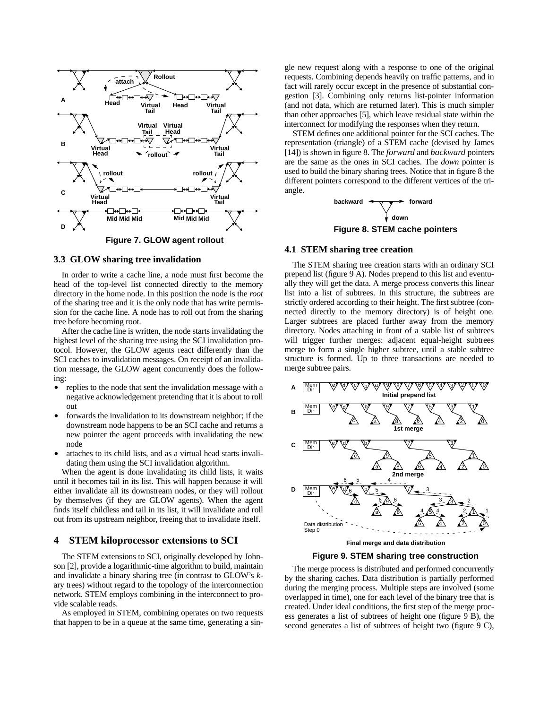

#### **3.3 GLOW sharing tree invalidation**

In order to write a cache line, a node must first become the head of the top-level list connected directly to the memory directory in the home node. In this position the node is the *root* of the sharing tree and it is the only node that has write permission for the cache line. A node has to roll out from the sharing tree before becoming root.

After the cache line is written, the node starts invalidating the highest level of the sharing tree using the SCI invalidation protocol. However, the GLOW agents react differently than the SCI caches to invalidation messages. On receipt of an invalidation message, the GLOW agent concurrently does the following:

- **•** replies to the node that sent the invalidation message with a negative acknowledgement pretending that it is about to roll out
- **•** forwards the invalidation to its downstream neighbor; if the downstream node happens to be an SCI cache and returns a new pointer the agent proceeds with invalidating the new node
- **•** attaches to its child lists, and as a virtual head starts invalidating them using the SCI invalidation algorithm.

When the agent is done invalidating its child lists, it waits until it becomes tail in its list. This will happen because it will either invalidate all its downstream nodes, or they will rollout by themselves (if they are GLOW agents). When the agent finds itself childless and tail in its list, it will invalidate and roll out from its upstream neighbor, freeing that to invalidate itself.

# **4 STEM kiloprocessor extensions to SCI**

The STEM extensions to SCI, originally developed by Johnson [2], provide a logarithmic-time algorithm to build, maintain and invalidate a binary sharing tree (in contrast to GLOW's *k*ary trees) without regard to the topology of the interconnection network. STEM employs combining in the interconnect to provide scalable reads.

As employed in STEM, combining operates on two requests that happen to be in a queue at the same time, generating a single new request along with a response to one of the original requests. Combining depends heavily on traffic patterns, and in fact will rarely occur except in the presence of substantial congestion [3]. Combining only returns list-pointer information (and not data, which are returned later). This is much simpler than other approaches [5], which leave residual state within the interconnect for modifying the responses when they return.

STEM defines one additional pointer for the SCI caches. The representation (triangle) of a STEM cache (devised by James [14]) is shown in figure 8. The *forward* and *backward* pointers are the same as the ones in SCI caches. The *down* pointer is used to build the binary sharing trees. Notice that in figure 8 the different pointers correspond to the different vertices of the triangle.



# **4.1 STEM sharing tree creation**

The STEM sharing tree creation starts with an ordinary SCI prepend list (figure 9 A). Nodes prepend to this list and eventually they will get the data. A merge process converts this linear list into a list of subtrees. In this structure, the subtrees are strictly ordered according to their height. The first subtree (connected directly to the memory directory) is of height one. Larger subtrees are placed further away from the memory directory. Nodes attaching in front of a stable list of subtrees will trigger further merges: adjacent equal-height subtrees merge to form a single higher subtree, until a stable subtree structure is formed. Up to three transactions are needed to merge subtree pairs.



#### **Figure 9. STEM sharing tree construction**

The merge process is distributed and performed concurrently by the sharing caches. Data distribution is partially performed during the merging process. Multiple steps are involved (some overlapped in time), one for each level of the binary tree that is created. Under ideal conditions, the first step of the merge process generates a list of subtrees of height one (figure 9 B), the second generates a list of subtrees of height two (figure 9 C),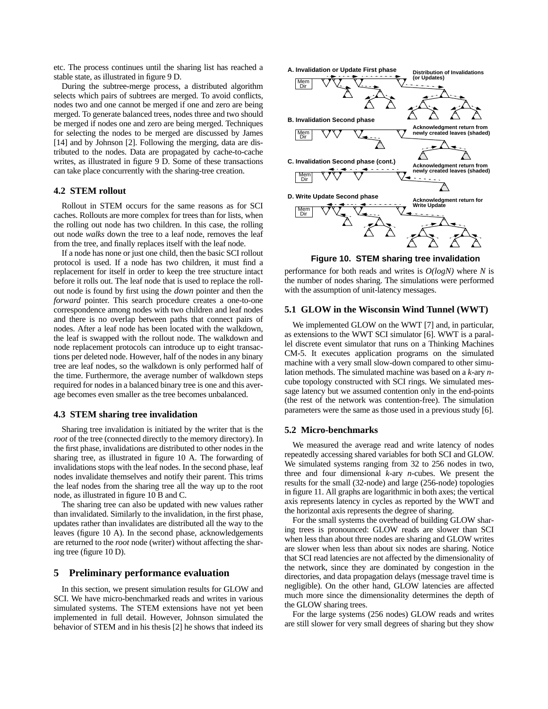etc. The process continues until the sharing list has reached a stable state, as illustrated in figure 9 D.

During the subtree-merge process, a distributed algorithm selects which pairs of subtrees are merged. To avoid conflicts, nodes two and one cannot be merged if one and zero are being merged. To generate balanced trees, nodes three and two should be merged if nodes one and zero are being merged. Techniques for selecting the nodes to be merged are discussed by James [14] and by Johnson [2]. Following the merging, data are distributed to the nodes. Data are propagated by cache-to-cache writes, as illustrated in figure 9 D. Some of these transactions can take place concurrently with the sharing-tree creation.

## **4.2 STEM rollout**

Rollout in STEM occurs for the same reasons as for SCI caches. Rollouts are more complex for trees than for lists, when the rolling out node has two children. In this case, the rolling out node *walks* down the tree to a leaf node, removes the leaf from the tree, and finally replaces itself with the leaf node.

If a node has none or just one child, then the basic SCI rollout protocol is used. If a node has two children, it must find a replacement for itself in order to keep the tree structure intact before it rolls out. The leaf node that is used to replace the rollout node is found by first using the *down* pointer and then the *forward* pointer. This search procedure creates a one-to-one correspondence among nodes with two children and leaf nodes and there is no overlap between paths that connect pairs of nodes. After a leaf node has been located with the walkdown, the leaf is swapped with the rollout node. The walkdown and node replacement protocols can introduce up to eight transactions per deleted node. However, half of the nodes in any binary tree are leaf nodes, so the walkdown is only performed half of the time. Furthermore, the average number of walkdown steps required for nodes in a balanced binary tree is one and this average becomes even smaller as the tree becomes unbalanced.

#### **4.3 STEM sharing tree invalidation**

Sharing tree invalidation is initiated by the writer that is the *root* of the tree (connected directly to the memory directory). In the first phase, invalidations are distributed to other nodes in the sharing tree, as illustrated in figure 10 A. The forwarding of invalidations stops with the leaf nodes. In the second phase, leaf nodes invalidate themselves and notify their parent. This trims the leaf nodes from the sharing tree all the way up to the root node, as illustrated in figure 10 B and C.

The sharing tree can also be updated with new values rather than invalidated. Similarly to the invalidation, in the first phase, updates rather than invalidates are distributed all the way to the leaves (figure 10 A). In the second phase, acknowledgements are returned to the *root* node (writer) without affecting the sharing tree (figure 10 D).

# **5 Preliminary performance evaluation**

In this section, we present simulation results for GLOW and SCI. We have micro-benchmarked reads and writes in various simulated systems. The STEM extensions have not yet been implemented in full detail. However, Johnson simulated the behavior of STEM and in his thesis [2] he shows that indeed its



**Figure 10. STEM sharing tree invalidation**

performance for both reads and writes is *O(logN)* where *N* is the number of nodes sharing. The simulations were performed with the assumption of unit-latency messages.

# **5.1 GLOW in the Wisconsin Wind Tunnel (WWT)**

We implemented GLOW on the WWT [7] and, in particular, as extensions to the WWT SCI simulator [6]. WWT is a parallel discrete event simulator that runs on a Thinking Machines CM-5. It executes application programs on the simulated machine with a very small slow-down compared to other simulation methods. The simulated machine was based on a *k*-ary *n*cube topology constructed with SCI rings. We simulated message latency but we assumed contention only in the end-points (the rest of the network was contention-free). The simulation parameters were the same as those used in a previous study [6].

#### **5.2 Micro-benchmarks**

We measured the average read and write latency of nodes repeatedly accessing shared variables for both SCI and GLOW. We simulated systems ranging from 32 to 256 nodes in two, three and four dimensional *k*-ary *n*-cubes. We present the results for the small (32-node) and large (256-node) topologies in figure 11. All graphs are logarithmic in both axes; the vertical axis represents latency in cycles as reported by the WWT and the horizontal axis represents the degree of sharing.

For the small systems the overhead of building GLOW sharing trees is pronounced: GLOW reads are slower than SCI when less than about three nodes are sharing and GLOW writes are slower when less than about six nodes are sharing. Notice that SCI read latencies are not affected by the dimensionality of the network, since they are dominated by congestion in the directories, and data propagation delays (message travel time is negligible). On the other hand, GLOW latencies are affected much more since the dimensionality determines the depth of the GLOW sharing trees.

For the large systems (256 nodes) GLOW reads and writes are still slower for very small degrees of sharing but they show